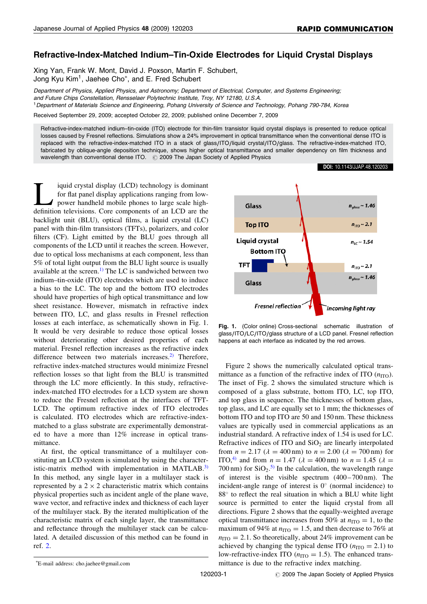## Refractive-Index-Matched Indium–Tin-Oxide Electrodes for Liquid Crystal Displays

Xing Yan, Frank W. Mont, David J. Poxson, Martin F. Schubert, Jong Kyu Kim<sup>1</sup>, Jaehee Cho<sup>\*</sup>, and E. Fred Schubert

Department of Physics, Applied Physics, and Astronomy; Department of Electrical, Computer, and Systems Engineering; and Future Chips Constellation, Rensselaer Polytechnic Institute, Troy, NY 12180, U.S.A. <sup>1</sup>Department of Materials Science and Engineering, Pohang University of Science and Technology, Pohang 790-784, Korea

Received September 29, 2009; accepted October 22, 2009; published online December 7, 2009

Refractive-index-matched indium–tin-oxide (ITO) electrode for thin-film transistor liquid crystal displays is presented to reduce optical losses caused by Fresnel reflections. Simulations show a 24% improvement in optical transmittance when the conventional dense ITO is replaced with the refractive-index-matched ITO in a stack of glass/ITO/liquid crystal/ITO/glass. The refractive-index-matched ITO, fabricated by oblique-angle deposition technique, shows higher optical transmittance and smaller dependency on film thickness and wavelength than conventional dense ITO. # 2009 The Japan Society of Applied Physics

iquid crystal display (LCD) technology is dominant for flat panel display applications ranging from lowpower handheld mobile phones to large scale highdefinition televisions. Core components of an LCD are the backlight unit (BLU), optical films, a liquid crystal (LC) panel with thin-film transistors (TFTs), polarizers, and color filters (CF). Light emitted by the BLU goes through all components of the LCD until it reaches the screen. However, due to optical loss mechanisms at each component, less than 5% of total light output from the BLU light source is usually available at the screen.<sup>[1\)](#page-2-0)</sup> The LC is sandwiched between two indium–tin-oxide (ITO) electrodes which are used to induce a bias to the LC. The top and the bottom ITO electrodes should have properties of high optical transmittance and low sheet resistance. However, mismatch in refractive index between ITO, LC, and glass results in Fresnel reflection losses at each interface, as schematically shown in Fig. 1. It would be very desirable to reduce those optical losses without deteriorating other desired properties of each material. Fresnel reflection increases as the refractive index difference between two materials increases. $2$ <sup>)</sup> Therefore, refractive index-matched structures would minimize Fresnel reflection losses so that light from the BLU is transmitted through the LC more efficiently. In this study, refractiveindex-matched ITO electrodes for a LCD system are shown to reduce the Fresnel reflection at the interfaces of TFT-LCD. The optimum refractive index of ITO electrodes is calculated. ITO electrodes which are refractive-indexmatched to a glass substrate are experimentally demonstrated to have a more than 12% increase in optical transmittance.

At first, the optical transmittance of a multilayer constituting an LCD system is simulated by using the characteristic-matrix method with implementation in MATLAB. $^{3)}$  $^{3)}$  $^{3)}$ In this method, any single layer in a multilayer stack is represented by a  $2 \times 2$  characteristic matrix which contains physical properties such as incident angle of the plane wave, wave vector, and refractive index and thickness of each layer of the multilayer stack. By the iterated multiplication of the characteristic matrix of each single layer, the transmittance and reflectance through the multilayer stack can be calculated. A detailed discussion of this method can be found in ref. [2.](#page-2-0)





Fig. 1. (Color online) Cross-sectional schematic illustration of glass/ITO/LC/ITO/glass structure of a LCD panel. Fresnel reflection happens at each interface as indicated by the red arrows.

Figure 2 shows the numerically calculated optical transmittance as a function of the refractive index of ITO  $(n_{\text{ITO}})$ . The inset of Fig. 2 shows the simulated structure which is composed of a glass substrate, bottom ITO, LC, top ITO, and top glass in sequence. The thicknesses of bottom glass, top glass, and LC are equally set to 1 mm; the thicknesses of bottom ITO and top ITO are 50 and 150 nm. These thickness values are typically used in commercial applications as an industrial standard. A refractive index of 1.54 is used for LC. Refractive indices of ITO and  $SiO<sub>2</sub>$  are linearly interpolated from  $n = 2.17$  ( $\lambda = 400$  nm) to  $n = 2.00$  ( $\lambda = 700$  nm) for ITO,<sup>[4\)](#page-2-0)</sup> and from  $n = 1.47$  ( $\lambda = 400$  nm) to  $n = 1.45$  ( $\lambda =$ 700 nm) for  $SiO_2$ .<sup>[5\)](#page-2-0)</sup> In the calculation, the wavelength range of interest is the visible spectrum (400 – 700 nm). The incident-angle range of interest is  $0^{\circ}$  (normal incidence) to  $88^\circ$  to reflect the real situation in which a BLU white light source is permitted to enter the liquid crystal from all directions. Figure 2 shows that the equally-weighted average optical transmittance increases from 50% at  $n_{\text{ITO}} = 1$ , to the maximum of 94% at  $n_{\text{ITO}} = 1.5$ , and then decrease to 76% at  $n_{\text{ITO}} = 2.1$ . So theoretically, about 24% improvement can be achieved by changing the typical dense ITO  $(n_{\text{ITO}} = 2.1)$  to low-refractive-index ITO ( $n_{\text{ITO}} = 1.5$ ). The enhanced transmittance is due to the refractive index matching.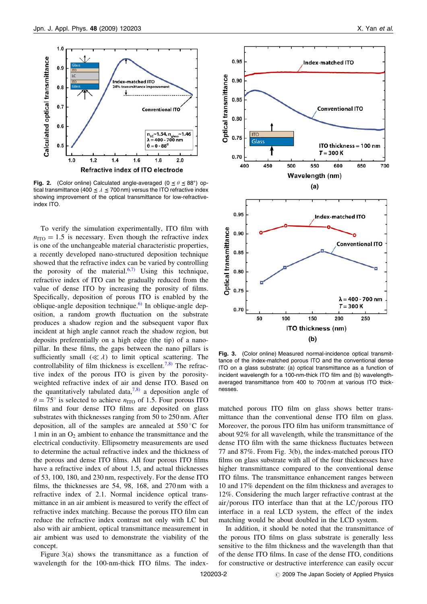

Fig. 2. (Color online) Calculated angle-averaged ( $0 \le \theta \le 88^{\circ}$ ) optical transmittance (400  $\leq$   $\lambda \leq$  700 nm) versus the ITO refractive index showing improvement of the optical transmittance for low-refractiveindex ITO.

To verify the simulation experimentally, ITO film with  $n_{\text{ITO}} = 1.5$  is necessary. Even though the refractive index is one of the unchangeable material characteristic properties, a recently developed nano-structured deposition technique showed that the refractive index can be varied by controlling the porosity of the material. $6,7$  Using this technique, refractive index of ITO can be gradually reduced from the value of dense ITO by increasing the porosity of films. Specifically, deposition of porous ITO is enabled by the oblique-angle deposition technique.<sup>6)</sup> In oblique-angle deposition, a random growth fluctuation on the substrate produces a shadow region and the subsequent vapor flux incident at high angle cannot reach the shadow region, but deposits preferentially on a high edge (the tip) of a nanopillar. In these films, the gaps between the nano pillars is sufficiently small  $(\ll \lambda)$  to limit optical scattering. The controllability of film thickness is excellent.<sup>[7,8\)](#page-2-0)</sup> The refractive index of the porous ITO is given by the porosityweighted refractive index of air and dense ITO. Based on the quantitatively tabulated data,<sup>[7,8\)](#page-2-0)</sup> a deposition angle of  $\theta = 75^{\circ}$  is selected to achieve  $n_{\text{ITO}}$  of 1.5. Four porous ITO films and four dense ITO films are deposited on glass substrates with thicknesses ranging from 50 to 250 nm. After deposition, all of the samples are annealed at  $550^{\circ}$ C for 1 min in an  $O_2$  ambient to enhance the transmittance and the electrical conductivity. Ellipsometry measurements are used to determine the actual refractive index and the thickness of the porous and dense ITO films. All four porous ITO films have a refractive index of about 1.5, and actual thicknesses of 53, 100, 180, and 230 nm, respectively. For the dense ITO films, the thicknesses are 54, 98, 168, and 270 nm with a refractive index of 2.1. Normal incidence optical transmittance in an air ambient is measured to verify the effect of refractive index matching. Because the porous ITO film can reduce the refractive index contrast not only with LC but also with air ambient, optical transmittance measurement in air ambient was used to demonstrate the viability of the concept.

Figure 3(a) shows the transmittance as a function of wavelength for the 100-nm-thick ITO films. The index-



Fig. 3. (Color online) Measured normal-incidence optical transmittance of the index-matched porous ITO and the conventional dense ITO on a glass substrate: (a) optical transmittance as a function of incident wavelength for a 100-nm-thick ITO film and (b) wavelengthaveraged transmittance from 400 to 700 nm at various ITO thicknesses.

matched porous ITO film on glass shows better transmittance than the conventional dense ITO film on glass. Moreover, the porous ITO film has uniform transmittance of about 92% for all wavelength, while the transmittance of the dense ITO film with the same thickness fluctuates between 77 and 87%. From Fig. 3(b), the index-matched porous ITO films on glass substrate with all of the four thicknesses have higher transmittance compared to the conventional dense ITO films. The transmittance enhancement ranges between 10 and 17% dependent on the film thickness and averages to 12%. Considering the much larger refractive contrast at the air/porous ITO interface than that at the LC/porous ITO interface in a real LCD system, the effect of the index matching would be about doubled in the LCD system.

In addition, it should be noted that the transmittance of the porous ITO films on glass substrate is generally less sensitive to the film thickness and the wavelength than that of the dense ITO films. In case of the dense ITO, conditions for constructive or destructive interference can easily occur